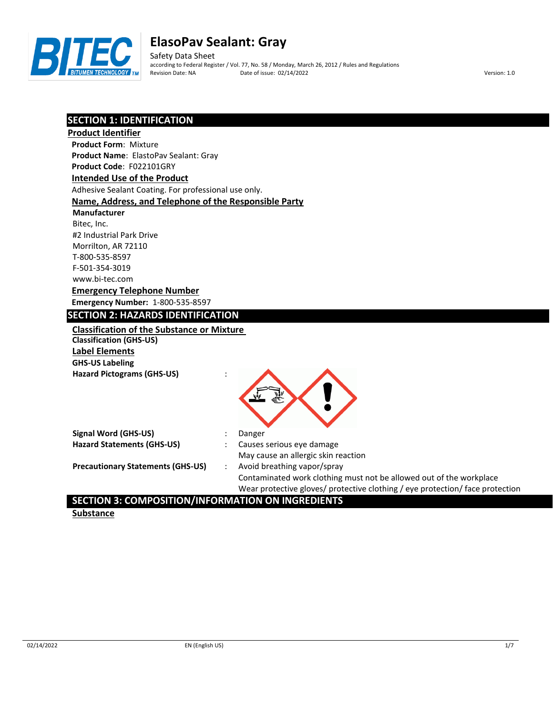

Safety Data Sheet according to Federal Register / Vol. 77, No. 58 / Monday, March 26, 2012 / Rules and Regulations Revision Date: NA Date of issue: 02/14/2022 Version: 1.0

## **SECTION 1: IDENTIFICATION**

| <b>Product Identifier</b>                             |                                                                               |
|-------------------------------------------------------|-------------------------------------------------------------------------------|
| <b>Product Form: Mixture</b>                          |                                                                               |
| Product Name: ElastoPav Sealant: Gray                 |                                                                               |
| Product Code: F022101GRY                              |                                                                               |
| <b>Intended Use of the Product</b>                    |                                                                               |
| Adhesive Sealant Coating. For professional use only.  |                                                                               |
| Name, Address, and Telephone of the Responsible Party |                                                                               |
| Manufacturer                                          |                                                                               |
| Bitec, Inc.                                           |                                                                               |
| #2 Industrial Park Drive                              |                                                                               |
| Morrilton, AR 72110                                   |                                                                               |
| T-800-535-8597                                        |                                                                               |
| F-501-354-3019                                        |                                                                               |
| www.bi-tec.com                                        |                                                                               |
| <b>Emergency Telephone Number</b>                     |                                                                               |
| <b>Emergency Number: 1-800-535-8597</b>               |                                                                               |
| <b>SECTION 2: HAZARDS IDENTIFICATION</b>              |                                                                               |
| <b>Classification of the Substance or Mixture</b>     |                                                                               |
| <b>Classification (GHS-US)</b>                        |                                                                               |
| <b>Label Elements</b>                                 |                                                                               |
| <b>GHS-US Labeling</b>                                |                                                                               |
| <b>Hazard Pictograms (GHS-US)</b>                     |                                                                               |
|                                                       |                                                                               |
|                                                       |                                                                               |
|                                                       |                                                                               |
|                                                       |                                                                               |
| <b>Signal Word (GHS-US)</b>                           | Danger                                                                        |
| <b>Hazard Statements (GHS-US)</b>                     | Causes serious eye damage                                                     |
|                                                       | May cause an allergic skin reaction                                           |
| <b>Precautionary Statements (GHS-US)</b>              | Avoid breathing vapor/spray                                                   |
|                                                       | Contaminated work clothing must not be allowed out of the workplace           |
|                                                       | Wear protective gloves/ protective clothing / eye protection/ face protection |

## **SECTION 3: COMPOSITION/INFORMATION ON INGREDIENTS**

**Substance**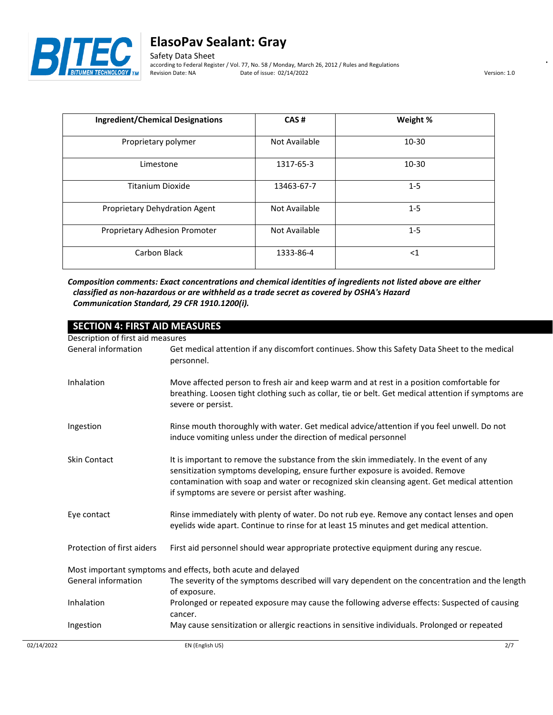

Safety Data Sheet according to Federal Register / Vol. 77, No. 58 / Monday, March 26, 2012 / Rules and Regulations Date of issue: 02/14/2022 Version: 1.0

| <b>Ingredient/Chemical Designations</b> | CAS#          | Weight %  |
|-----------------------------------------|---------------|-----------|
| Proprietary polymer                     | Not Available | $10 - 30$ |
| Limestone                               | 1317-65-3     | $10 - 30$ |
| Titanium Dioxide                        | 13463-67-7    | $1 - 5$   |
| Proprietary Dehydration Agent           | Not Available | $1 - 5$   |
| Proprietary Adhesion Promoter           | Not Available | $1 - 5$   |
| Carbon Black                            | 1333-86-4     | $<$ 1     |

*Composition comments: Exact concentrations and chemical identities of ingredients not listed above are either classified as non-hazardous or are withheld as a trade secret as covered by OSHA's Hazard Communication Standard, 29 CFR 1910.1200(i).*

| <b>SECTION 4: FIRST AID MEASURES</b>                        |                                                                                                                                                                                                                                                                                                                            |  |
|-------------------------------------------------------------|----------------------------------------------------------------------------------------------------------------------------------------------------------------------------------------------------------------------------------------------------------------------------------------------------------------------------|--|
| Description of first aid measures                           |                                                                                                                                                                                                                                                                                                                            |  |
| General information                                         | Get medical attention if any discomfort continues. Show this Safety Data Sheet to the medical<br>personnel.                                                                                                                                                                                                                |  |
| Inhalation                                                  | Move affected person to fresh air and keep warm and at rest in a position comfortable for<br>breathing. Loosen tight clothing such as collar, tie or belt. Get medical attention if symptoms are<br>severe or persist.                                                                                                     |  |
| Ingestion                                                   | Rinse mouth thoroughly with water. Get medical advice/attention if you feel unwell. Do not<br>induce vomiting unless under the direction of medical personnel                                                                                                                                                              |  |
| <b>Skin Contact</b>                                         | It is important to remove the substance from the skin immediately. In the event of any<br>sensitization symptoms developing, ensure further exposure is avoided. Remove<br>contamination with soap and water or recognized skin cleansing agent. Get medical attention<br>if symptoms are severe or persist after washing. |  |
| Eye contact                                                 | Rinse immediately with plenty of water. Do not rub eye. Remove any contact lenses and open<br>eyelids wide apart. Continue to rinse for at least 15 minutes and get medical attention.                                                                                                                                     |  |
| Protection of first aiders                                  | First aid personnel should wear appropriate protective equipment during any rescue.                                                                                                                                                                                                                                        |  |
| Most important symptoms and effects, both acute and delayed |                                                                                                                                                                                                                                                                                                                            |  |
| General information                                         | The severity of the symptoms described will vary dependent on the concentration and the length<br>of exposure.                                                                                                                                                                                                             |  |
| Inhalation                                                  | Prolonged or repeated exposure may cause the following adverse effects: Suspected of causing<br>cancer.                                                                                                                                                                                                                    |  |
| Ingestion                                                   | May cause sensitization or allergic reactions in sensitive individuals. Prolonged or repeated                                                                                                                                                                                                                              |  |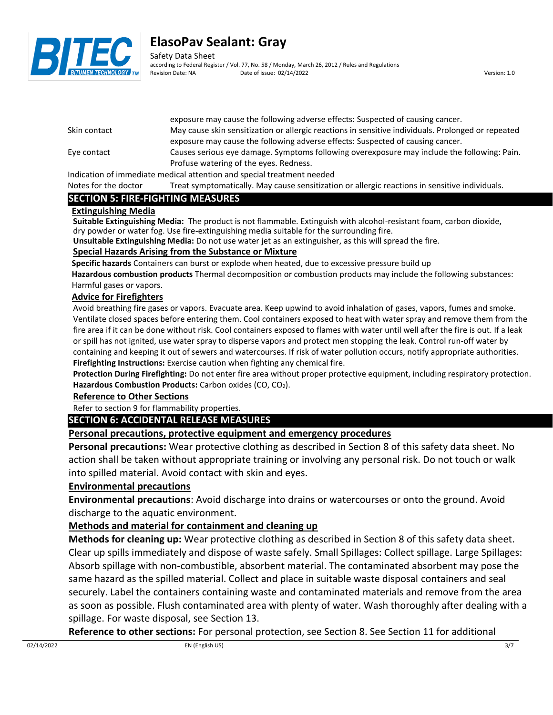

Safety Data Sheet according to Federal Register / Vol. 77, No. 58 / Monday, March 26, 2012 / Rules and Regulations Revision Date: NA Date of issue: 02/14/2022 Version: 1.0

|              | exposure may cause the following adverse effects. Suspected or causing called .                    |
|--------------|----------------------------------------------------------------------------------------------------|
| Skin contact | May cause skin sensitization or allergic reactions in sensitive individuals. Prolonged or repeated |
|              | exposure may cause the following adverse effects: Suspected of causing cancer.                     |
| Eye contact  | Causes serious eve damage. Symptoms following overexposure may include the following: Pain.        |
|              | Profuse watering of the eyes. Redness.                                                             |
|              |                                                                                                    |

exposure may cause the following adverse effects: Suspected of causing cancer.

Indication of immediate medical attention and special treatment needed

Notes for the doctor Treat symptomatically. May cause sensitization or allergic reactions in sensitive individuals.

#### **SECTION 5: FIRE-FIGHTING MEASURES**

#### **Extinguishing Media**

**Suitable Extinguishing Media:** The product is not flammable. Extinguish with alcohol-resistant foam, carbon dioxide, dry powder or water fog. Use fire-extinguishing media suitable for the surrounding fire.

**Unsuitable Extinguishing Media:** Do not use water jet as an extinguisher, as this will spread the fire.

#### **Special Hazards Arising from the Substance or Mixture**

**Specific hazards** Containers can burst or explode when heated, due to excessive pressure build up

**Hazardous combustion products** Thermal decomposition or combustion products may include the following substances: Harmful gases or vapors.

#### **Advice for Firefighters**

Avoid breathing fire gases or vapors. Evacuate area. Keep upwind to avoid inhalation of gases, vapors, fumes and smoke. Ventilate closed spaces before entering them. Cool containers exposed to heat with water spray and remove them from the fire area if it can be done without risk. Cool containers exposed to flames with water until well after the fire is out. If a leak or spill has not ignited, use water spray to disperse vapors and protect men stopping the leak. Control run-off water by containing and keeping it out of sewers and watercourses. If risk of water pollution occurs, notify appropriate authorities. **Firefighting Instructions:** Exercise caution when fighting any chemical fire.

**Protection During Firefighting:** Do not enter fire area without proper protective equipment, including respiratory protection. Hazardous Combustion Products: Carbon oxides (CO, CO<sub>2</sub>).

#### **Reference to Other Sections**

Refer to section 9 for flammability properties.

#### **SECTION 6: ACCIDENTAL RELEASE MEASURES**

#### **Personal precautions, protective equipment and emergency procedures**

**Personal precautions:** Wear protective clothing as described in Section 8 of this safety data sheet. No action shall be taken without appropriate training or involving any personal risk. Do not touch or walk into spilled material. Avoid contact with skin and eyes.

#### **Environmental precautions**

**Environmental precautions**: Avoid discharge into drains or watercourses or onto the ground. Avoid discharge to the aquatic environment.

### **Methods and material for containment and cleaning up**

**Methods for cleaning up:** Wear protective clothing as described in Section 8 of this safety data sheet. Clear up spills immediately and dispose of waste safely. Small Spillages: Collect spillage. Large Spillages: Absorb spillage with non-combustible, absorbent material. The contaminated absorbent may pose the same hazard as the spilled material. Collect and place in suitable waste disposal containers and seal securely. Label the containers containing waste and contaminated materials and remove from the area as soon as possible. Flush contaminated area with plenty of water. Wash thoroughly after dealing with a spillage. For waste disposal, see Section 13.

**Reference to other sections:** For personal protection, see Section 8. See Section 11 for additional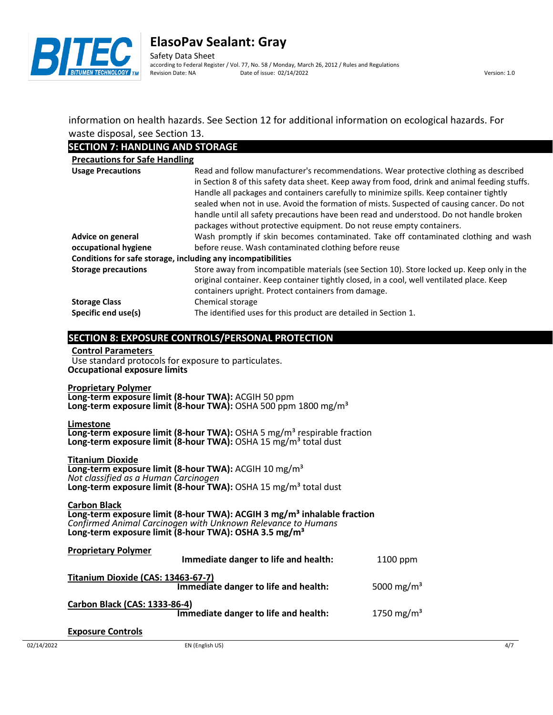

information on health hazards. See Section 12 for additional information on ecological hazards. For waste disposal, see Section 13.

#### **SECTION 7: HANDLING AND STORAGE**

| SECTION 7: HANDLING AND STORAGE      |                                                                                                                                                                                                                                                                                                                                                                                                                                                                                                                                                    |
|--------------------------------------|----------------------------------------------------------------------------------------------------------------------------------------------------------------------------------------------------------------------------------------------------------------------------------------------------------------------------------------------------------------------------------------------------------------------------------------------------------------------------------------------------------------------------------------------------|
| <b>Precautions for Safe Handling</b> |                                                                                                                                                                                                                                                                                                                                                                                                                                                                                                                                                    |
| <b>Usage Precautions</b>             | Read and follow manufacturer's recommendations. Wear protective clothing as described<br>in Section 8 of this safety data sheet. Keep away from food, drink and animal feeding stuffs.<br>Handle all packages and containers carefully to minimize spills. Keep container tightly<br>sealed when not in use. Avoid the formation of mists. Suspected of causing cancer. Do not<br>handle until all safety precautions have been read and understood. Do not handle broken<br>packages without protective equipment. Do not reuse empty containers. |
| Advice on general                    | Wash promptly if skin becomes contaminated. Take off contaminated clothing and wash                                                                                                                                                                                                                                                                                                                                                                                                                                                                |
| occupational hygiene                 | before reuse. Wash contaminated clothing before reuse                                                                                                                                                                                                                                                                                                                                                                                                                                                                                              |
|                                      | Conditions for safe storage, including any incompatibilities                                                                                                                                                                                                                                                                                                                                                                                                                                                                                       |
| <b>Storage precautions</b>           | Store away from incompatible materials (see Section 10). Store locked up. Keep only in the<br>original container. Keep container tightly closed, in a cool, well ventilated place. Keep<br>containers upright. Protect containers from damage.                                                                                                                                                                                                                                                                                                     |
| <b>Storage Class</b>                 | Chemical storage                                                                                                                                                                                                                                                                                                                                                                                                                                                                                                                                   |
| Specific end use(s)                  | The identified uses for this product are detailed in Section 1.                                                                                                                                                                                                                                                                                                                                                                                                                                                                                    |
|                                      |                                                                                                                                                                                                                                                                                                                                                                                                                                                                                                                                                    |

#### **SECTION 8: EXPOSURE CONTROLS/PERSONAL PROTECTION**

**Control Parameters**

Use standard protocols for exposure to particulates. **Occupational exposure limits**

**Proprietary Polymer Long-term exposure limit (8-hour TWA):** ACGIH 50 ppm Long-term exposure limit (8-hour TWA): OSHA 500 ppm 1800 mg/m<sup>3</sup>

**Limestone Long-term exposure limit (8-hour TWA):** OSHA 5 mg/m<sup>3</sup> respirable fraction Long-term exposure limit (8-hour TWA): OSHA 15 mg/m<sup>3</sup> total dust

**Titanium Dioxide Long-term exposure limit (8-hour TWA):** ACGIH 10 mg/m³ *Not classified as a Human Carcinogen* Long-term exposure limit (8-hour TWA): OSHA 15 mg/m<sup>3</sup> total dust

**Carbon Black Long-term exposure limit (8-hour TWA): ACGIH 3 mg/m³ inhalable fraction** *Confirmed Animal Carcinogen with Unknown Relevance to Humans* **Long-term exposure limit (8-hour TWA): OSHA 3.5 mg/m³**

| <b>Proprietary Polymer</b>         | Immediate danger to life and health: | 1100 ppm               |
|------------------------------------|--------------------------------------|------------------------|
| Titanium Dioxide (CAS: 13463-67-7) | Immediate danger to life and health: | 5000 mg/m <sup>3</sup> |
| Carbon Black (CAS: 1333-86-4)      | Immediate danger to life and health: | 1750 mg/m <sup>3</sup> |

#### **Exposure Controls**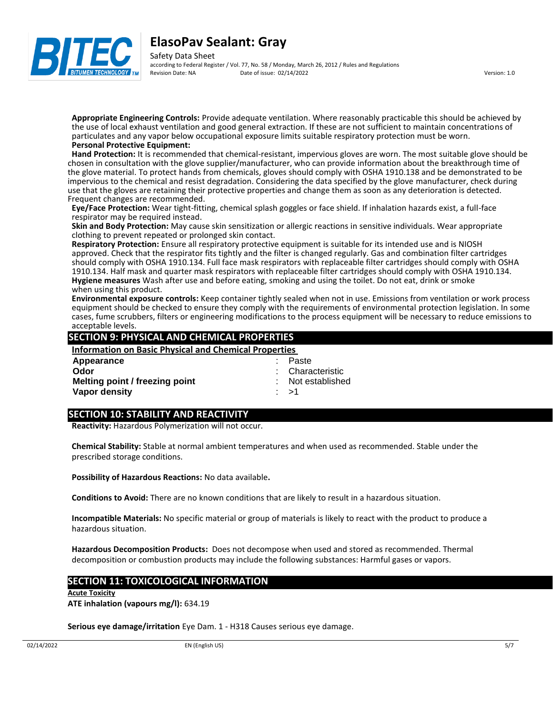



Safety Data Sheet according to Federal Register / Vol. 77, No. 58 / Monday, March 26, 2012 / Rules and Regulations<br>Revision Date: NA Date of issue: 02/14/2022 Pate of issue: 02/14/2022 Version: 1.0

**Appropriate Engineering Controls:** Provide adequate ventilation. Where reasonably practicable this should be achieved by the use of local exhaust ventilation and good general extraction. If these are not sufficient to maintain concentrations of particulates and any vapor below occupational exposure limits suitable respiratory protection must be worn. **Personal Protective Equipment:**

**Hand Protection:** It is recommended that chemical-resistant, impervious gloves are worn. The most suitable glove should be chosen in consultation with the glove supplier/manufacturer, who can provide information about the breakthrough time of the glove material. To protect hands from chemicals, gloves should comply with OSHA 1910.138 and be demonstrated to be impervious to the chemical and resist degradation. Considering the data specified by the glove manufacturer, check during use that the gloves are retaining their protective properties and change them as soon as any deterioration is detected. Frequent changes are recommended.

**Eye/Face Protection:** Wear tight-fitting, chemical splash goggles or face shield. If inhalation hazards exist, a full-face respirator may be required instead.

**Skin and Body Protection:** May cause skin sensitization or allergic reactions in sensitive individuals. Wear appropriate clothing to prevent repeated or prolonged skin contact.

**Respiratory Protection:** Ensure all respiratory protective equipment is suitable for its intended use and is NIOSH approved. Check that the respirator fits tightly and the filter is changed regularly. Gas and combination filter cartridges should comply with OSHA 1910.134. Full face mask respirators with replaceable filter cartridges should comply with OSHA 1910.134. Half mask and quarter mask respirators with replaceable filter cartridges should comply with OSHA 1910.134. **Hygiene measures** Wash after use and before eating, smoking and using the toilet. Do not eat, drink or smoke when using this product.

**Environmental exposure controls:** Keep container tightly sealed when not in use. Emissions from ventilation or work process equipment should be checked to ensure they comply with the requirements of environmental protection legislation. In some cases, fume scrubbers, filters or engineering modifications to the process equipment will be necessary to reduce emissions to acceptable levels.

#### **SECTION 9: PHYSICAL AND CHEMICAL PROPERTIES**

| Paste             |
|-------------------|
| : Characteristic  |
| : Not established |
|                   |
|                   |

#### **SECTION 10: STABILITY AND REACTIVITY**

**Reactivity:** Hazardous Polymerization will not occur.

**Chemical Stability:** Stable at normal ambient temperatures and when used as recommended. Stable under the prescribed storage conditions.

**Possibility of Hazardous Reactions:** No data available**.**

**Conditions to Avoid:** There are no known conditions that are likely to result in a hazardous situation.

**Incompatible Materials:** No specific material or group of materials is likely to react with the product to produce a hazardous situation.

**Hazardous Decomposition Products:** Does not decompose when used and stored as recommended. Thermal decomposition or combustion products may include the following substances: Harmful gases or vapors.

#### **SECTION 11: TOXICOLOGICAL INFORMATION**

**Acute Toxicity**

**ATE inhalation (vapours mg/l):** 634.19

**Serious eye damage/irritation** Eye Dam. 1 - H318 Causes serious eye damage.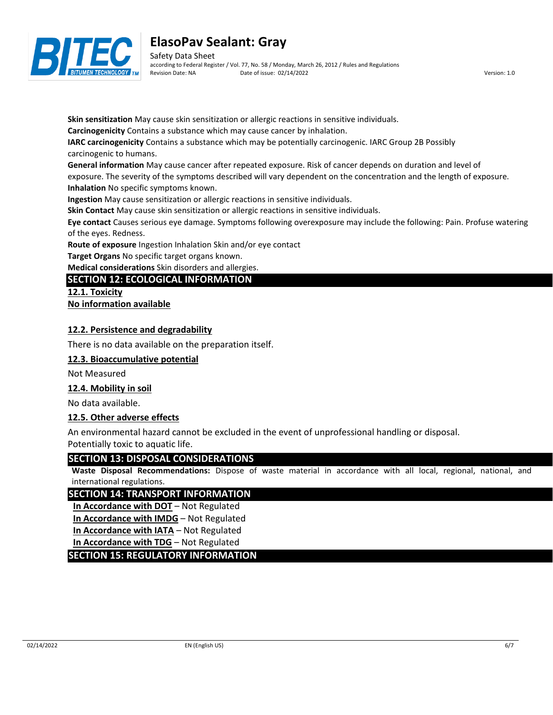

Safety Data Sheet according to Federal Register / Vol. 77, No. 58 / Monday, March 26, 2012 / Rules and Regulations Revision Date: NA Date of issue: 02/14/2022 Version: 1.0

**Skin sensitization** May cause skin sensitization or allergic reactions in sensitive individuals.

**Carcinogenicity** Contains a substance which may cause cancer by inhalation.

**IARC carcinogenicity** Contains a substance which may be potentially carcinogenic. IARC Group 2B Possibly carcinogenic to humans.

**General information** May cause cancer after repeated exposure. Risk of cancer depends on duration and level of

exposure. The severity of the symptoms described will vary dependent on the concentration and the length of exposure. **Inhalation** No specific symptoms known.

**Ingestion** May cause sensitization or allergic reactions in sensitive individuals.

**Skin Contact** May cause skin sensitization or allergic reactions in sensitive individuals.

**Eye contact** Causes serious eye damage. Symptoms following overexposure may include the following: Pain. Profuse watering of the eyes. Redness.

**Route of exposure** Ingestion Inhalation Skin and/or eye contact

**Target Organs** No specific target organs known.

**Medical considerations** Skin disorders and allergies.

## **SECTION 12: ECOLOGICAL INFORMATION**

**12.1. Toxicity No information available**

#### **12.2. Persistence and degradability**

There is no data available on the preparation itself.

#### **12.3. Bioaccumulative potential**

Not Measured

#### **12.4. Mobility in soil**

No data available.

#### **12.5. Other adverse effects**

An environmental hazard cannot be excluded in the event of unprofessional handling or disposal. Potentially toxic to aquatic life.

#### **SECTION 13: DISPOSAL CONSIDERATIONS**

**Waste Disposal Recommendations:** Dispose of waste material in accordance with all local, regional, national, and international regulations.

#### **SECTION 14: TRANSPORT INFORMATION**

**In Accordance with DOT** – Not Regulated

**In Accordance with IMDG** – Not Regulated

**In Accordance with IATA** – Not Regulated

**In Accordance with TDG** – Not Regulated

**SECTION 15: REGULATORY INFORMATION**